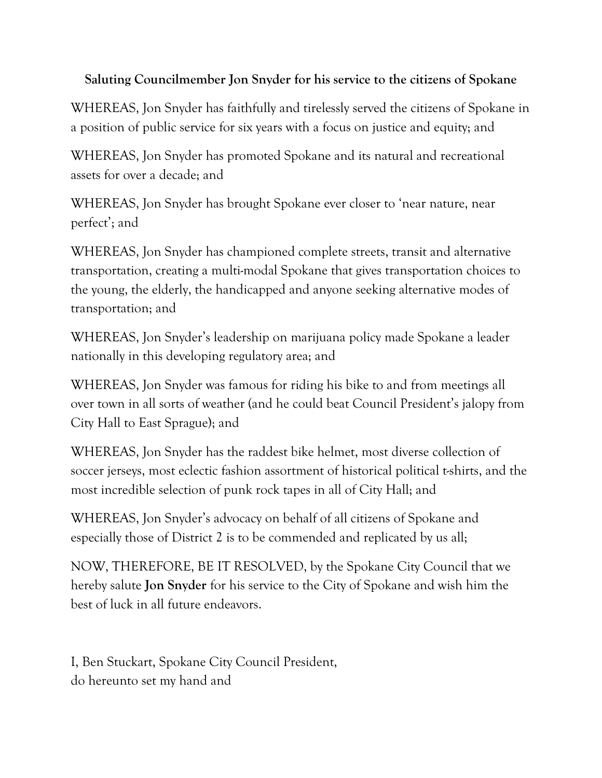## **Saluting Councilmember Jon Snyder for his service to the citizens of Spokane**

WHEREAS, Jon Snyder has faithfully and tirelessly served the citizens of Spokane in a position of public service for six years with a focus on justice and equity; and

WHEREAS, Jon Snyder has promoted Spokane and its natural and recreational assets for over a decade; and

WHEREAS, Jon Snyder has brought Spokane ever closer to 'near nature, near perfect'; and

WHEREAS, Jon Snyder has championed complete streets, transit and alternative transportation, creating a multi-modal Spokane that gives transportation choices to the young, the elderly, the handicapped and anyone seeking alternative modes of transportation; and

WHEREAS, Jon Snyder's leadership on marijuana policy made Spokane a leader nationally in this developing regulatory area; and

WHEREAS, Jon Snyder was famous for riding his bike to and from meetings all over town in all sorts of weather (and he could beat Council President's jalopy from City Hall to East Sprague); and

WHEREAS, Jon Snyder has the raddest bike helmet, most diverse collection of soccer jerseys, most eclectic fashion assortment of historical political t-shirts, and the most incredible selection of punk rock tapes in all of City Hall; and

WHEREAS, Jon Snyder's advocacy on behalf of all citizens of Spokane and especially those of District 2 is to be commended and replicated by us all;

NOW, THEREFORE, BE IT RESOLVED, by the Spokane City Council that we hereby salute **Jon Snyder** for his service to the City of Spokane and wish him the best of luck in all future endeavors.

I, Ben Stuckart, Spokane City Council President, do hereunto set my hand and